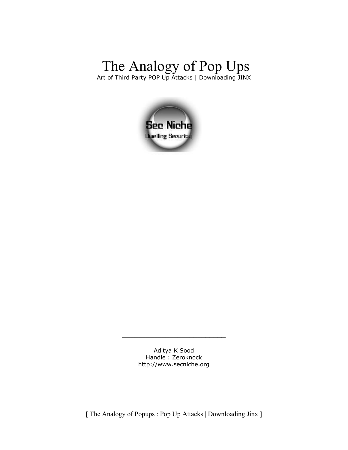## The Analogy of Pop Ups Art of Third Party POP Up Attacks | Downloading JINX



Aditya K Sood Handle : Zeroknock [http://www.secniche.org](http://zeroknock.metaeye.org/)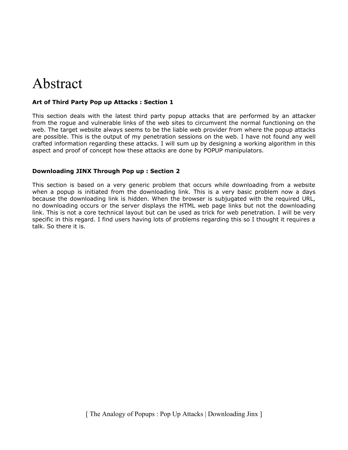# Abstract

#### **Art of Third Party Pop up Attacks : Section 1**

This section deals with the latest third party popup attacks that are performed by an attacker from the rogue and vulnerable links of the web sites to circumvent the normal functioning on the web. The target website always seems to be the liable web provider from where the popup attacks are possible. This is the output of my penetration sessions on the web. I have not found any well crafted information regarding these attacks. I will sum up by designing a working algorithm in this aspect and proof of concept how these attacks are done by POPUP manipulators.

#### **Downloading JINX Through Pop up : Section 2**

This section is based on a very generic problem that occurs while downloading from a website when a popup is initiated from the downloading link. This is a very basic problem now a days because the downloading link is hidden. When the browser is subjugated with the required URL, no downloading occurs or the server displays the HTML web page links but not the downloading link. This is not a core technical layout but can be used as trick for web penetration. I will be very specific in this regard. I find users having lots of problems regarding this so I thought it requires a talk. So there it is.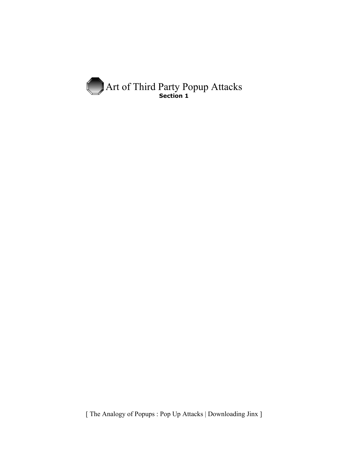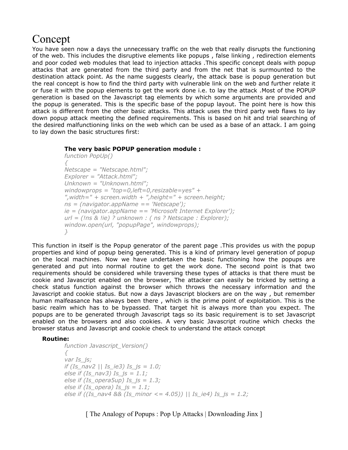## Concept

You have seen now a days the unnecessary traffic on the web that really disrupts the functioning of the web. This includes the disruptive elements like popups , false linking , redirection elements and poor coded web modules that lead to injection attacks .This specific concept deals with popup attacks that are generated from the third party and from the net that is surmounted to the destination attack point. As the name suggests clearly, the attack base is popup generation but the real concept is how to find the third party with vulnerable link on the web and further relate it or fuse it with the popup elements to get the work done i.e. to lay the attack .Most of the POPUP generation is based on the Javascript tag elements by which some arguments are provided and the popup is generated. This is the specific base of the popup layout. The point here is how this attack is different from the other basic attacks. This attack uses the third party web flaws to lay down popup attack meeting the defined requirements. This is based on hit and trial searching of the desired malfunctioning links on the web which can be used as a base of an attack. I am going to lay down the basic structures first:

#### **The very basic POPUP generation module :**

```
function PopUp()
{
Netscape = "Netscape.html";
Explorer = "Attack.html";
Unknown = "Unknown.html";
windowprops = "top=0,left=0,resizable=yes" + 
",width=" + screen.width + ",height=" + screen.height;
ns = (navigator.appName == 'Netscape');
ie = (navigator.appName == 'Microsoft Internet Explorer');
url = (!ns & !ie) ? unknown : ( ns ? Netscape : Explorer);
window.open(url, "popupPage", windowprops);
}
```
This function in itself is the Popup generator of the parent page .This provides us with the popup properties and kind of popup being generated. This is a kind of primary level generation of popup on the local machines. Now we have undertaken the basic functioning how the popups are generated and put into normal routine to get the work done. The second point is that two requirements should be considered while traversing these types of attacks is that there must be cookie and Javascript enabled on the browser, The attacker can easily be tricked by setting a check status function against the browser which throws the necessary information and the Javascript and cookie status. But now a days Javascript blockers are on the way , but remember human malfeasance has always been there , which is the prime point of exploitation. This is the basic realm which has to be bypassed. That target hit is always more than you expect. The popups are to be generated through Javascript tags so its basic requirement is to set Javascript enabled on the browsers and also cookies. A very basic Javascript routine which checks the browser status and Javascript and cookie check to understand the attack concept

#### **Routine:**

```
function Javascript_Version()
{
var Is_js;
if (Is_nav2 || Is_ie3) Is_js = 1.0;
else if (Is_nav3) Is_js = 1.1;
else if (Is_opera5up) Is_js = 1.3;
else if (Is_opera) Is_js = 1.1;
else if ((Is_nav4 && (Is_minor <= 4.05)) || Is_ie4) Is_js = 1.2;
```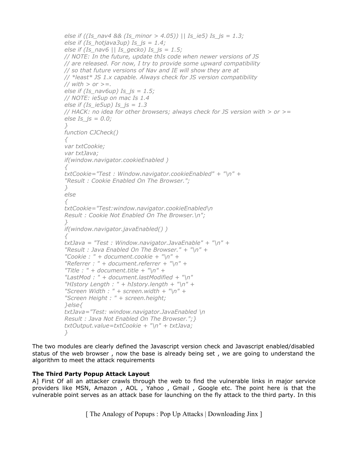```
else if ((Is_nav4 && (Is_minor > 4.05)) || Is_ie5) Is_js = 1.3;
else if (Is_hotjava3up) Is_js = 1.4;
else if (Is_nav6 || Is_gecko) Is_js = 1.5;
// NOTE: In the future, update thIs code when newer versions of JS
// are released. For now, I try to provide some upward compatibility
// so that future versions of Nav and IE will show they are at
// *least* JS 1.x capable. Always check for JS version compatibility
// with > or >=.
else if (Is_nav6up) Is_js = 1.5;
// NOTE: ie5up on mac Is 1.4
else if (Is_ie5up) Is_js = 1.3
// HACK: no idea for other browsers; always check for JS version with > or >=
else Is_js = 0.0;
}
function CJCheck()
{
var txtCookie;
var txtJava;
if(window.navigator.cookieEnabled )
{
txtCookie="Test : Window.navigator.cookieEnabled" + "\n" +
"Result : Cookie Enabled On The Browser.";
}
else
{
txtCookie="Test:window.navigator.cookieEnabled\n
Result : Cookie Not Enabled On The Browser.\n";
}
if(window.navigator.javaEnabled() )
{
txtJava = "Test : Window.navigator.JavaEnable" + "\n" +
"Result : Java Enabled On The Browser." + "\n" +
"Cookie : " + document.cookie + "\n" +
"Referrer : " + document.referrer + "\n" +
"Title : " + document.title + "\n" +"LastMod : " + document.lastModified + "\n"
"HIstory Length : " + hIstory.length + "\n" +
"Screen Width : " + screen.width + "\n" +
"Screen Height : " + screen.height;
}else{
txtJava="Test: window.navigator.JavaEnabled \n
Result : Java Not Enabled On The Browser.";}
txtOutput.value=txtCookie + "\n" + txtJava;
}
```
The two modules are clearly defined the Javascript version check and Javascript enabled/disabled status of the web browser , now the base is already being set , we are going to understand the algorithm to meet the attack requirements

#### **The Third Party Popup Attack Layout**

A] First Of all an attacker crawls through the web to find the vulnerable links in major service providers like MSN, Amazon , AOL , Yahoo , Gmail , Google etc. The point here is that the vulnerable point serves as an attack base for launching on the fly attack to the third party. In this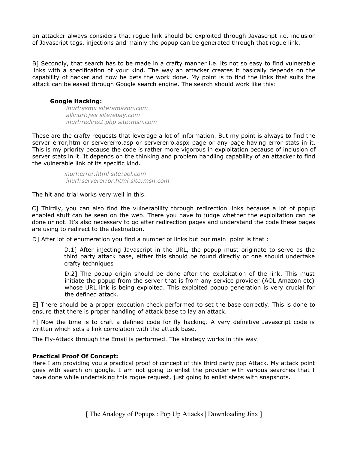an attacker always considers that rogue link should be exploited through Javascript i.e. inclusion of Javascript tags, injections and mainly the popup can be generated through that rogue link.

B] Secondly, that search has to be made in a crafty manner i.e. its not so easy to find vulnerable links with a specification of your kind. The way an attacker creates it basically depends on the capability of hacker and how he gets the work done. My point is to find the links that suits the attack can be eased through Google search engine. The search should work like this:

#### **Google Hacking:**

*inurl:asmx site:amazon.com allinurl:jws site:ebay.com inurl:redirect.php site:msn.com*

These are the crafty requests that leverage a lot of information. But my point is always to find the server error,htm or servererro.asp or servererro.aspx page or any page having error stats in it. This is my priority because the code is rather more vigorous in exploitation because of inclusion of server stats in it. It depends on the thinking and problem handling capability of an attacker to find the vulnerable link of its specific kind.

> *inurl:error.html site:aol.com inurl:servererror.html site:msn.com*

The hit and trial works very well in this.

C] Thirdly, you can also find the vulnerability through redirection links because a lot of popup enabled stuff can be seen on the web. There you have to judge whether the exploitation can be done or not. It's also necessary to go after redirection pages and understand the code these pages are using to redirect to the destination.

D] After lot of enumeration you find a number of links but our main point is that :

D.1] After injecting Javascript in the URL, the popup must originate to serve as the third party attack base, either this should be found directly or one should undertake crafty techniques

D.2] The popup origin should be done after the exploitation of the link. This must initiate the popup from the server that is from any service provider (AOL Amazon etc) whose URL link is being exploited. This exploited popup generation is very crucial for the defined attack.

E] There should be a proper execution check performed to set the base correctly. This is done to ensure that there is proper handling of attack base to lay an attack.

F] Now the time is to craft a defined code for fly hacking. A very definitive Javascript code is written which sets a link correlation with the attack base.

The Fly-Attack through the Email is performed. The strategy works in this way.

#### **Practical Proof Of Concept:**

Here I am providing you a practical proof of concept of this third party pop Attack. My attack point goes with search on google. I am not going to enlist the provider with various searches that I have done while undertaking this rogue request, just going to enlist steps with snapshots.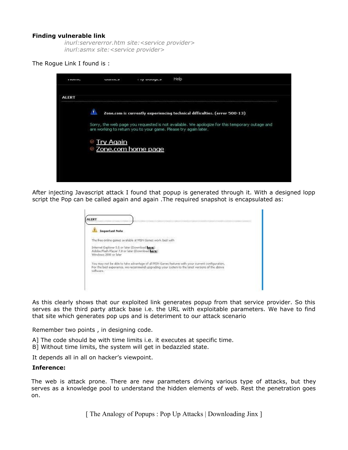#### **Finding vulnerable link**

*inurl:servererror.htm site:<service provider> inurl:asmx site:<service provider>*

#### The Rogue Link I found is :

| <b>ALERT</b><br>л<br>Zone.com is currently experiencing technical difficulties. (error 500-13)                                                                    |  |
|-------------------------------------------------------------------------------------------------------------------------------------------------------------------|--|
|                                                                                                                                                                   |  |
|                                                                                                                                                                   |  |
| Sorry, the web page you requested is not available. We apologize for this temporary outage and<br>are working to return you to your game. Please try again later. |  |
| <u>© Try Aqain</u>                                                                                                                                                |  |
| <sup>®</sup> Zone.com home page                                                                                                                                   |  |
|                                                                                                                                                                   |  |

After injecting Javascript attack I found that popup is generated through it. With a designed lopp script the Pop can be called again and again .The required snapshot is encapsulated as:

|             | <b>Important Note</b>                                                                                                                                                                               |  |
|-------------|-----------------------------------------------------------------------------------------------------------------------------------------------------------------------------------------------------|--|
|             | The free online games available at MSN Games work best with                                                                                                                                         |  |
|             | Internet Explorer 5.5 or later (Download here)<br>Adobe Flash Player 7.0 or later (Download here)<br>Windows 2000 or later                                                                          |  |
| sisRwalini. | You may not be able to take advantage of all MSN Games features with your current configuration.<br>For the best experience, we recommend upgrading your system to the latest versions of the above |  |

As this clearly shows that our exploited link generates popup from that service provider. So this serves as the third party attack base i.e. the URL with exploitable parameters. We have to find that site which generates pop ups and is deteriment to our attack scenario

Remember two points , in designing code.

- A] The code should be with time limits i.e. it executes at specific time.
- B] Without time limits, the system will get in bedazzled state.

It depends all in all on hacker's viewpoint.

#### **Inference:**

The web is attack prone. There are new parameters driving various type of attacks, but they serves as a knowledge pool to understand the hidden elements of web. Rest the penetration goes on.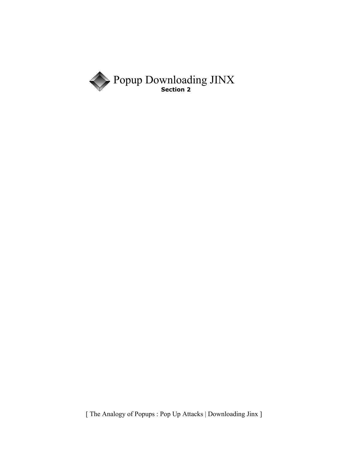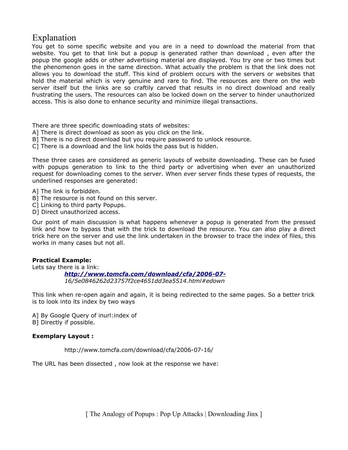### Explanation

You get to some specific website and you are in a need to download the material from that website. You get to that link but a popup is generated rather than download , even after the popup the google adds or other advertising material are displayed. You try one or two times but the phenomenon goes in the same direction. What actually the problem is that the link does not allows you to download the stuff. This kind of problem occurs with the servers or websites that hold the material which is very genuine and rare to find. The resources are there on the web server itself but the links are so craftily carved that results in no direct download and really frustrating the users. The resources can also be locked down on the server to hinder unauthorized access. This is also done to enhance security and minimize illegal transactions.

There are three specific downloading stats of websites:

- A] There is direct download as soon as you click on the link.
- B] There is no direct download but you require password to unlock resource.
- C] There is a download and the link holds the pass but is hidden.

These three cases are considered as generic layouts of website downloading. These can be fused with popups generation to link to the third party or advertising when ever an unauthorized request for downloading comes to the server. When ever server finds these types of requests, the underlined responses are generated:

- A] The link is forbidden.
- B] The resource is not found on this server.
- C] Linking to third party Popups.
- D] Direct unauthorized access.

Our point of main discussion is what happens whenever a popup is generated from the pressed link and how to bypass that with the trick to download the resource. You can also play a direct trick here on the server and use the link undertaken in the browser to trace the index of files, this works in many cases but not all.

#### **Practical Example:**

Lets say there is a link:

*<http://www.tomcfa.com/download/cfa/2006-07-> 16/5e0846262d23757f2ce4651dd3ea5514.html#edown*

This link when re-open again and again, it is being redirected to the same pages. So a better trick is to look into its index by two ways

A] By Google Query of inurl:index of B] Directly if possible.

#### **Exemplary Layout :**

http://www.tomcfa.com/download/cfa/2006-07-16/

The URL has been dissected , now look at the response we have: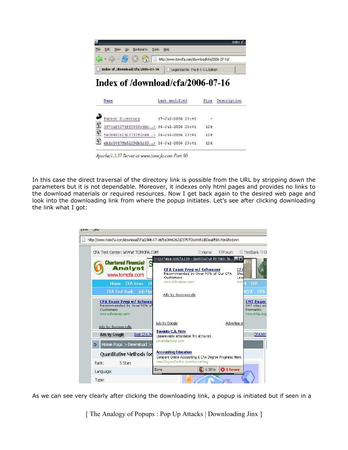| File | Edt | YEW | Go Bookmarks                      | Tools Heip |                                                                                                                    | Index of |
|------|-----|-----|-----------------------------------|------------|--------------------------------------------------------------------------------------------------------------------|----------|
|      |     |     |                                   |            | $\blacksquare$ - $\blacksquare$ - $\blacksquare$ (2) $\blacksquare$ http://www.tomcfa.com/download/cfa/2006-07-16/ |          |
|      |     |     | Index of /download/cfa/2006-07-16 |            | LegionSec'06-The B-Y-O-L Edition                                                                                   |          |

|    | Name                                    | Last modified     | Size | Description |
|----|-----------------------------------------|-------------------|------|-------------|
|    | <b>Farent Directory</b>                 | 17-Jul-2006 23:43 | 32   |             |
| Ë  | 1971af3974ff2910c1bb> 16-Jul-2006 23:41 |                   | 12k  |             |
| ₽  | 5e0846262d23757f2ce4> 16-Jul-2006 23:41 |                   | 12x  |             |
| ŧ, | eb1c54479b52296b1c59> 16-Jul-2006 23:41 |                   | 12k  |             |

Apache/1.3.37 Server at www.tomcfa.com Port 80

In this case the direct traversal of the directory link is possible from the URL by stripping down the parameters but it is not dependable. Moreover, it indexes only html pages and provides no links to the download materials or required resources. Now I get back again to the desired web page and look into the downloading link from where the popup initiates. Let's see after clicking downloading the link what I got:



As we can see very clearly after clicking the downloading link, a popup is initiated but if seen in a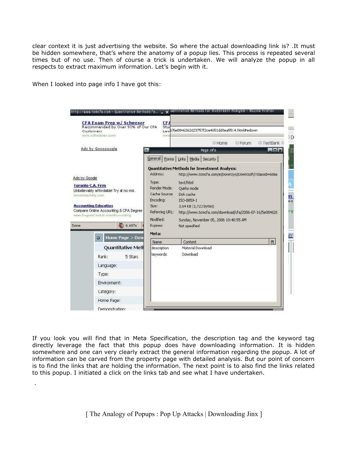clear context it is just advertising the website. So where the actual downloading link is? .It must be hidden somewhere, that's where the anatomy of a popup lies. This process is repeated several times but of no use. Then of course a trick is undertaken. We will analyze the popup in all respects to extract maximum information. Let's begin with it.

When I looked into page info I have got this:

.

| Customers                                                                                              | <b>CFA Exam Prep w/ Schweser</b><br>Recommended by Over 93% of Our CFA<br>www.schweser.com                                         | CFI<br>Stu<br>WW <sup>1</sup>                                                                                                             | Lev \$/5e0846262d23757f2ce4651dd3ea5514.html#edown<br><b>23 Home</b><br><b>E</b> Forum<br>2 TestBank ≥                                                                                                                                                                                                                                                    |  |
|--------------------------------------------------------------------------------------------------------|------------------------------------------------------------------------------------------------------------------------------------|-------------------------------------------------------------------------------------------------------------------------------------------|-----------------------------------------------------------------------------------------------------------------------------------------------------------------------------------------------------------------------------------------------------------------------------------------------------------------------------------------------------------|--|
|                                                                                                        | Ads by Goooooogle                                                                                                                  |                                                                                                                                           | Page Info<br>$  \times$                                                                                                                                                                                                                                                                                                                                   |  |
| Ads by Google<br><b>Toronto C.A. Firm</b><br>torontotaxhelp.com<br><b>Accounting Education</b><br>Done | Unbelievably affordable! Try at no risk.<br>Compare Online Accounting & CPA Degree<br>mmm. Degree Central.com/Accounting<br>6.6875 | General  <br>Address:<br>Type:<br>Render Mode:<br>Cache Source:<br>Encoding:<br>Size:<br>Referring URL:<br>Modified:<br>Expires:<br>Meta: | Forms   Links   Media   Security  <br><b>Quantitative Methods for Investment Analysis:</b><br>http://www.tomcfa.com/e/Down5ys/Down5oft/?classid=6884<br>text/html<br>Quirks mode<br>Disk cache<br>ISO-8859-1<br>3.64 KB (3,723 bytes)<br>http://www.tomcfa.com/download/cfa/2006-07-16/5e084626<br>Sunday, November 05, 2006 10:40:55 AM<br>Not specified |  |
|                                                                                                        | Home Page > Dow<br>э                                                                                                               | Name                                                                                                                                      | 民<br>Content                                                                                                                                                                                                                                                                                                                                              |  |
|                                                                                                        | Quantitative Meth                                                                                                                  | description                                                                                                                               | Material Download<br>Download                                                                                                                                                                                                                                                                                                                             |  |
|                                                                                                        | Rank:<br>5 Stars                                                                                                                   | keywords                                                                                                                                  |                                                                                                                                                                                                                                                                                                                                                           |  |
|                                                                                                        | Language:                                                                                                                          |                                                                                                                                           |                                                                                                                                                                                                                                                                                                                                                           |  |
|                                                                                                        | Type:                                                                                                                              |                                                                                                                                           |                                                                                                                                                                                                                                                                                                                                                           |  |
|                                                                                                        | Envirorment:                                                                                                                       |                                                                                                                                           |                                                                                                                                                                                                                                                                                                                                                           |  |
|                                                                                                        | Category;                                                                                                                          |                                                                                                                                           |                                                                                                                                                                                                                                                                                                                                                           |  |
|                                                                                                        | Home Page:                                                                                                                         |                                                                                                                                           |                                                                                                                                                                                                                                                                                                                                                           |  |
|                                                                                                        | Demonstration:                                                                                                                     |                                                                                                                                           |                                                                                                                                                                                                                                                                                                                                                           |  |

If you look you will find that in Meta Specification, the description tag and the keyword tag directly leverage the fact that this popup does have downloading information. It is hidden somewhere and one can very clearly extract the general information regarding the popup. A lot of information can be carved from the property page with detailed analysis. But our point of concern is to find the links that are holding the information. The next point is to also find the links related to this popup. I initiated a click on the links tab and see what I have undertaken.